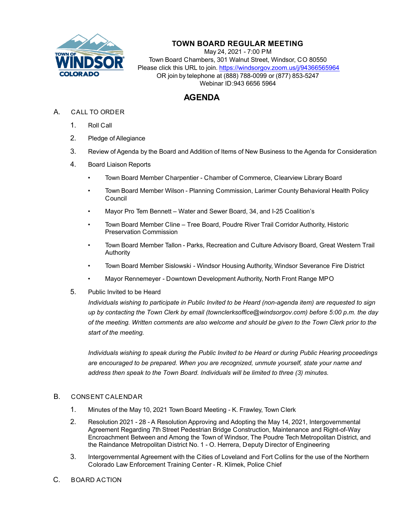

## **TOWN BOARD REGULAR MEETING**

May 24, 2021 - 7:00 PM Town Board Chambers, 301 Walnut Street, Windsor, CO 80550 Please click this URL to join. https://windsorgov.zoom.us/j/94366565964 OR join by telephone at (888) 788-0099 or (877) 853-5247 Webinar ID:943 6656 5964

## **AGENDA**

- A. CALL TO ORDER
	- 1. Roll Call
	- 2. Pledge of Allegiance
	- 3. Review of Agenda by the Board and Addition of Items of New Business to the Agenda for Consideration
	- 4. Board Liaison Reports
		- Town Board Member Charpentier Chamber of Commerce, Clearview Library Board
		- Town Board Member Wilson Planning Commission, Larimer County Behavioral Health Policy Council
		- Mayor Pro Tem Bennett Water and Sewer Board, 34, and I-25 Coalition's
		- Town Board Member Cline Tree Board, Poudre River Trail Corridor Authority, Historic Preservation Commission
		- Town Board Member Tallon Parks, Recreation and Culture Advisory Board, Great Western Trail Authority
		- Town Board Member Sislowski Windsor Housing Authority, Windsor Severance Fire District
		- Mayor Rennemeyer Downtown Development Authority, North Front Range MPO
	- 5. Public Invited to be Heard

*Individuals wishing to participate in Public Invited to be Heard (non-agenda item) are requested to sign up by contacting the Town Clerk by email (townclerksoffice@windsorgov.com) before 5:00 p.m. the day of the meeting. Written comments are also welcome and should be given to the Town Clerk prior to the start of the meeting.*

*Individuals wishing to speak during the Public Invited to be Heard or during Public Hearing proceedings are encouraged to be prepared. When you are recognized, unmute yourself, state your name and address then speak to the Town Board. Individuals will be limited to three (3) minutes.*

## B. CONSENT CALENDAR

- 1. [Minutes of the May 10, 2021 Town Board Meeting K. Frawley, Town Clerk](file:///C:/Windows/TEMP/CoverSheet.aspx?ItemID=1445&MeetingID=267)
- 2. [Resolution 2021 28 A Resolution Approving and Adopting the May 14, 2021, Intergovernm](file:///C:/Windows/TEMP/CoverSheet.aspx?ItemID=1444&MeetingID=267)ental Agreement Regarding 7th Street Pedestrian Bridge Construction, Maintenance and Right-of-Way Encroachment Between and Among the Town of Windsor, The Poudre Tech Metropolitan District, and the Raindance Metropolitan District No. 1 - O. Herrera, Deputy Director of Engineering
- 3. [Intergovernmental Agreement with the Cities of Loveland and Fort Collins for the use of t](file:///C:/Windows/TEMP/CoverSheet.aspx?ItemID=1443&MeetingID=267)he Northern Colorado Law Enforcement Training Center - R. Klimek, Police Chief
- C. BOARD ACTION